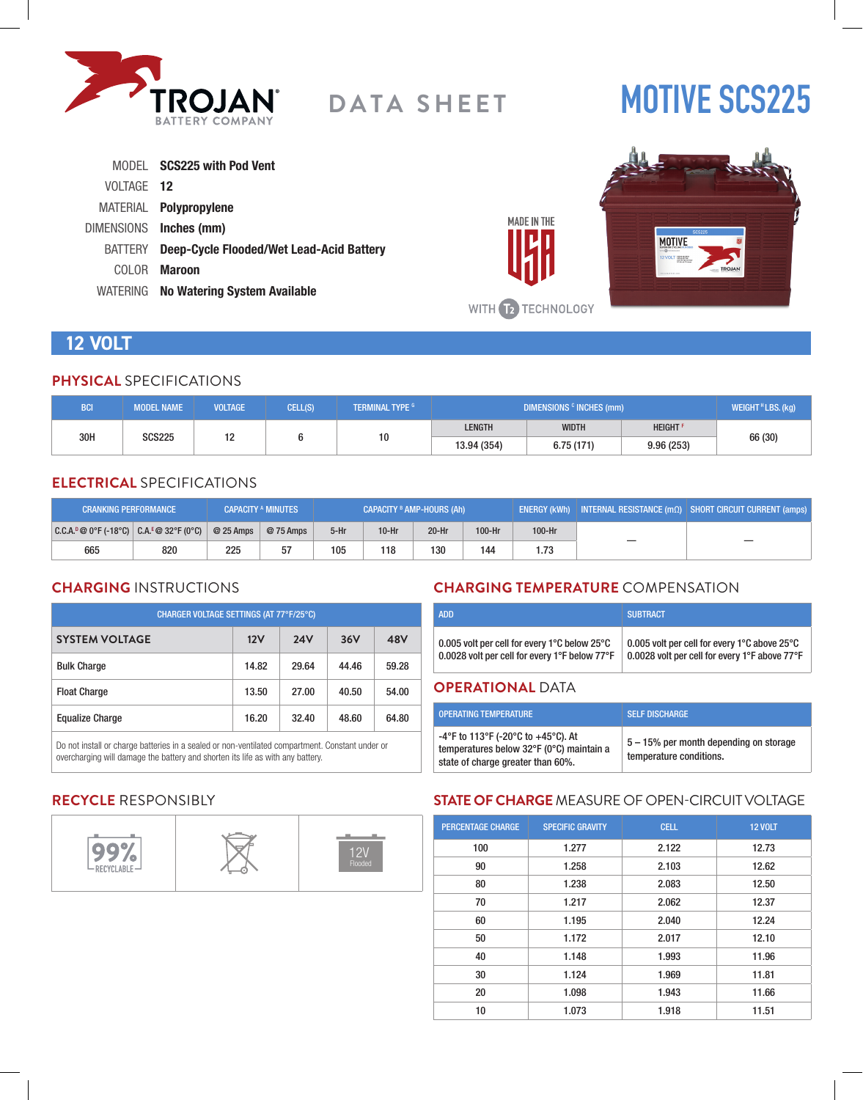

# **MOTIVE SCS225**

|            | MODEL SCS225 with Pod Vent                       |
|------------|--------------------------------------------------|
| VOLTAGE 12 |                                                  |
|            | MATERIAL <b>Polypropylene</b>                    |
|            | DIMENSIONS Inches (mm)                           |
|            | BATTERY Deep-Cycle Flooded/Wet Lead-Acid Battery |
| COLOR -    | Maroon                                           |
|            | WATERING No Watering System Available            |



# **12 VOLT**

### **PHYSICAL** SPECIFICATIONS

| <b>BCI</b>           | <b>MODEL NAME</b> | <b>VOLTAGE</b> | CELL(S) | <b>TERMINAL TYPE G</b> | DIMENSIONS <sup>c</sup> INCHES (mm) |              |                            | WEIGHT <sup>H</sup> LBS. (kg) |
|----------------------|-------------------|----------------|---------|------------------------|-------------------------------------|--------------|----------------------------|-------------------------------|
|                      |                   | ۰.             |         |                        | <b>LENGTH</b>                       | <b>WIDTH</b> | <b>HEIGHT</b> <sup>F</sup> |                               |
| 30H<br><b>SCS225</b> |                   | . .            |         | 10                     | 13.94 (354)                         | 6.75(171)    | 9.96(253)                  | 66 (30)                       |

# **ELECTRICAL** SPECIFICATIONS

| <b>CRANKING PERFORMANCE</b>               |     |            | <b>CAPACITY A MINUTES</b> | CAPACITY <sup>B</sup> AMP-HOURS (Ah) |         |         | <b>ENERGY (kWh)</b> INTERNAL RESISTANCE ( $m\Omega$ ) SHORT CIRCUIT CURRENT (amps) |        |  |
|-------------------------------------------|-----|------------|---------------------------|--------------------------------------|---------|---------|------------------------------------------------------------------------------------|--------|--|
| $ C.C.A.^0@0°F(-18°C)  C.A.^E@32°F(0°C) $ |     | $@25$ Amps | @ 75 Amps                 | $5-Hr$                               | $10-Hr$ | $20-Hr$ | 100-Hr                                                                             | 100-Hr |  |
| 665                                       | 820 | 225        | 57                        | 105                                  | 118     | 130     | 144                                                                                | 1.73   |  |

# **CHARGING** INSTRUCTIONS

| CHARGER VOLTAGE SETTINGS (AT 77°F/25°C) |       |            |       |       |  |  |
|-----------------------------------------|-------|------------|-------|-------|--|--|
| <b>SYSTEM VOLTAGE</b>                   | 12V   | <b>24V</b> | 36V   | 48V   |  |  |
| <b>Bulk Charge</b>                      | 14.82 | 29.64      | 44.46 | 59.28 |  |  |
| <b>Float Charge</b>                     | 13.50 | 27.00      | 40.50 | 54.00 |  |  |
| <b>Equalize Charge</b>                  | 16.20 | 32.40      | 48.60 | 64.80 |  |  |

Do not install or charge batteries in a sealed or non-ventilated compartment. Constant under or overcharging will damage the battery and shorten its life as with any battery.

# **CHARGING TEMPERATURE** COMPENSATION

| <b>ADD</b>                                                       | <b>SUBTRACT</b>                               |
|------------------------------------------------------------------|-----------------------------------------------|
| 0.005 volt per cell for every 1 $\degree$ C below 25 $\degree$ C | 0.005 volt per cell for every 1°C above 25°C  |
| 0.0028 volt per cell for every 1°F below 77°F                    | 0.0028 volt per cell for every 1°F above 77°F |

### **OPERATIONAL** DATA

**MADE IN THE** 

| <b>OPERATING TEMPERATURE</b>                                                                                        | <b>SELF DISCHARGE</b>                                             |
|---------------------------------------------------------------------------------------------------------------------|-------------------------------------------------------------------|
| -4°F to 113°F (-20°C to +45°C). At<br>temperatures below 32°F (0°C) maintain a<br>state of charge greater than 60%. | 5 – 15% per month depending on storage<br>temperature conditions. |

# **RECYCLE** RESPONSIBLY



# **STATE OF CHARGE** MEASURE OF OPEN-CIRCUIT VOLTAGE

| <b>PERCENTAGE CHARGE</b> | <b>SPECIFIC GRAVITY</b> | <b>CELL</b> | <b>12 VOLT</b> |
|--------------------------|-------------------------|-------------|----------------|
| 100                      | 1.277                   | 2.122       | 12.73          |
| 90                       | 1.258                   | 2.103       | 12.62          |
| 80                       | 1.238                   | 2.083       | 12.50          |
| 70                       | 1.217                   | 2.062       | 12.37          |
| 60                       | 1.195                   | 2.040       | 12.24          |
| 50                       | 1.172                   | 2.017       | 12.10          |
| 40                       | 1.148                   | 1.993       | 11.96          |
| 30                       | 1.124                   | 1.969       | 11.81          |
| 20                       | 1.098                   | 1.943       | 11.66          |
| 10                       | 1.073                   | 1.918       | 11.51          |